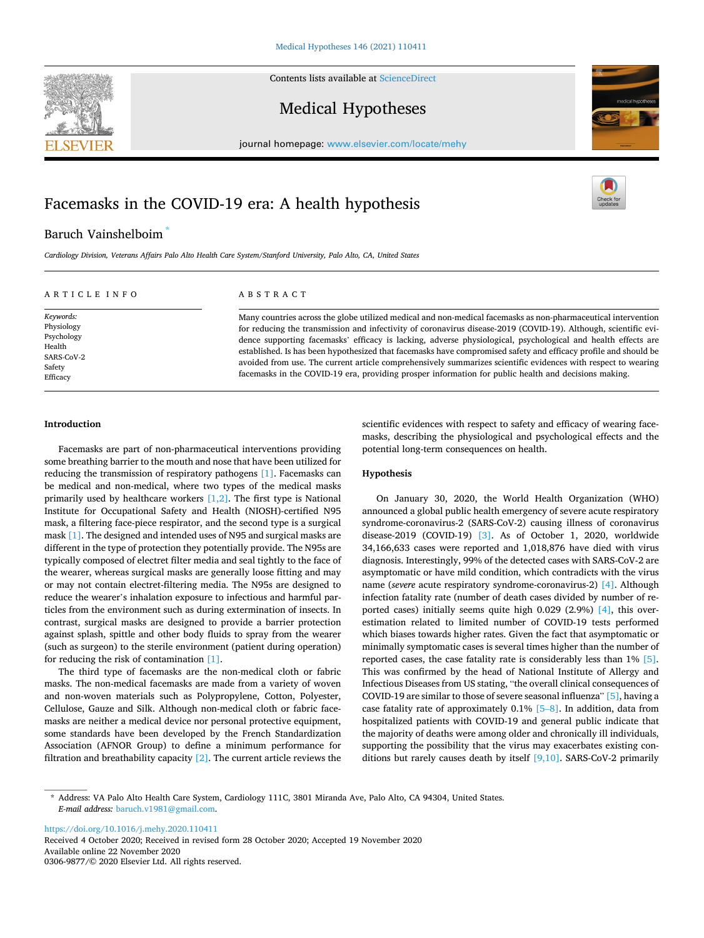Contents lists available at [ScienceDirect](www.sciencedirect.com/science/journal/03069877)

# Medical Hypotheses

journal homepage: [www.elsevier.com/locate/mehy](https://www.elsevier.com/locate/mehy) 

# Facemasks in the COVID-19 era: A health hypothesis

# Baruch Vainshelboim \*

*Cardiology Division, Veterans Affairs Palo Alto Health Care System/Stanford University, Palo Alto, CA, United States* 

# ARTICLE INFO

*Keywords:*  Physiology Psychology Health SARS-CoV-2 Safety Efficacy

#### ABSTRACT

Many countries across the globe utilized medical and non-medical facemasks as non-pharmaceutical intervention for reducing the transmission and infectivity of coronavirus disease-2019 (COVID-19). Although, scientific evidence supporting facemasks' efficacy is lacking, adverse physiological, psychological and health effects are established. Is has been hypothesized that facemasks have compromised safety and efficacy profile and should be avoided from use. The current article comprehensively summarizes scientific evidences with respect to wearing facemasks in the COVID-19 era, providing prosper information for public health and decisions making.

#### **Introduction**

Facemasks are part of non-pharmaceutical interventions providing some breathing barrier to the mouth and nose that have been utilized for reducing the transmission of respiratory pathogens [\[1\].](#page-3-0) Facemasks can be medical and non-medical, where two types of the medical masks primarily used by healthcare workers  $[1,2]$ . The first type is National Institute for Occupational Safety and Health (NIOSH)-certified N95 mask, a filtering face-piece respirator, and the second type is a surgical mask [\[1\].](#page-3-0) The designed and intended uses of N95 and surgical masks are different in the type of protection they potentially provide. The N95s are typically composed of electret filter media and seal tightly to the face of the wearer, whereas surgical masks are generally loose fitting and may or may not contain electret-filtering media. The N95s are designed to reduce the wearer's inhalation exposure to infectious and harmful particles from the environment such as during extermination of insects. In contrast, surgical masks are designed to provide a barrier protection against splash, spittle and other body fluids to spray from the wearer (such as surgeon) to the sterile environment (patient during operation) for reducing the risk of contamination [\[1\]](#page-3-0).

The third type of facemasks are the non-medical cloth or fabric masks. The non-medical facemasks are made from a variety of woven and non-woven materials such as Polypropylene, Cotton, Polyester, Cellulose, Gauze and Silk. Although non-medical cloth or fabric facemasks are neither a medical device nor personal protective equipment, some standards have been developed by the French Standardization Association (AFNOR Group) to define a minimum performance for filtration and breathability capacity  $[2]$ . The current article reviews the scientific evidences with respect to safety and efficacy of wearing facemasks, describing the physiological and psychological effects and the potential long-term consequences on health.

## **Hypothesis**

On January 30, 2020, the World Health Organization (WHO) announced a global public health emergency of severe acute respiratory syndrome-coronavirus-2 (SARS-CoV-2) causing illness of coronavirus disease-2019 (COVID-19) [\[3\].](#page-3-0) As of October 1, 2020, worldwide 34,166,633 cases were reported and 1,018,876 have died with virus diagnosis. Interestingly, 99% of the detected cases with SARS-CoV-2 are asymptomatic or have mild condition, which contradicts with the virus name (*severe* acute respiratory syndrome-coronavirus-2) [\[4\]](#page-3-0). Although infection fatality rate (number of death cases divided by number of reported cases) initially seems quite high 0.029 (2.9%) [\[4\]](#page-3-0), this overestimation related to limited number of COVID-19 tests performed which biases towards higher rates. Given the fact that asymptomatic or minimally symptomatic cases is several times higher than the number of reported cases, the case fatality rate is considerably less than 1% [\[5\]](#page-3-0). This was confirmed by the head of National Institute of Allergy and Infectious Diseases from US stating, "the overall clinical consequences of COVID-19 are similar to those of severe seasonal influenza" [\[5\]](#page-3-0), having a case fatality rate of approximately 0.1% [\[5](#page-3-0)–8]. In addition, data from hospitalized patients with COVID-19 and general public indicate that the majority of deaths were among older and chronically ill individuals, supporting the possibility that the virus may exacerbates existing conditions but rarely causes death by itself  $[9,10]$ . SARS-CoV-2 primarily

<https://doi.org/10.1016/j.mehy.2020.110411>

Available online 22 November 2020 0306-9877/© 2020 Elsevier Ltd. All rights reserved. Received 4 October 2020; Received in revised form 28 October 2020; Accepted 19 November 2020







<sup>\*</sup> Address: VA Palo Alto Health Care System, Cardiology 111C, 3801 Miranda Ave, Palo Alto, CA 94304, United States. *E-mail address:* [baruch.v1981@gmail.com.](mailto:baruch.v1981@gmail.com)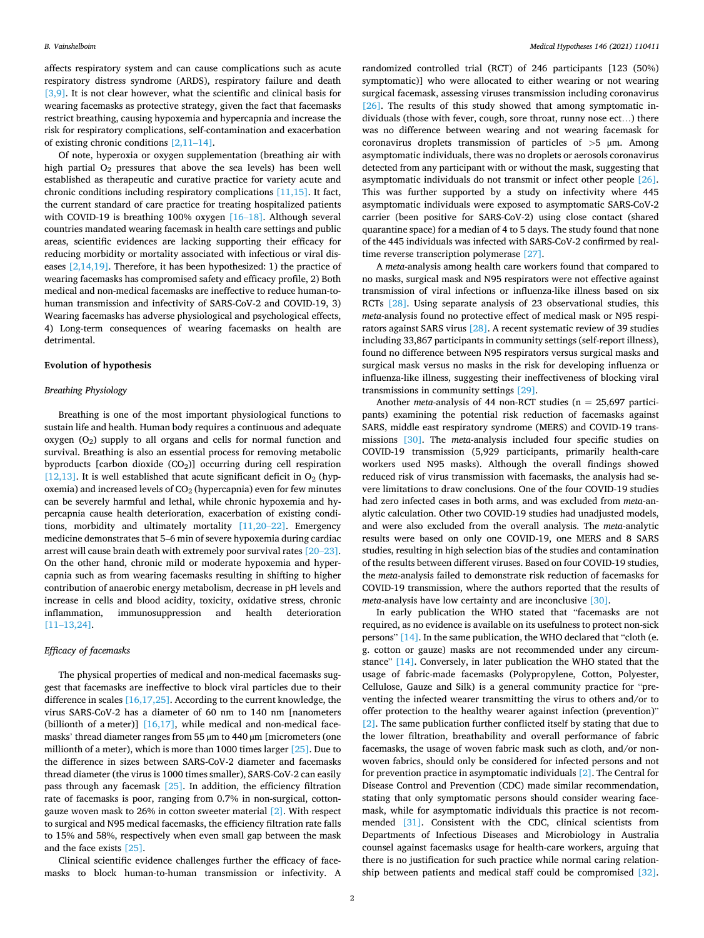affects respiratory system and can cause complications such as acute respiratory distress syndrome (ARDS), respiratory failure and death [\[3,9\].](#page-3-0) It is not clear however, what the scientific and clinical basis for wearing facemasks as protective strategy, given the fact that facemasks restrict breathing, causing hypoxemia and hypercapnia and increase the risk for respiratory complications, self-contamination and exacerbation of existing chronic conditions [\[2,11](#page-3-0)–14].

Of note, hyperoxia or oxygen supplementation (breathing air with high partial  $O_2$  pressures that above the sea levels) has been well established as therapeutic and curative practice for variety acute and chronic conditions including respiratory complications [\[11,15\].](#page-3-0) It fact, the current standard of care practice for treating hospitalized patients with COVID-19 is breathing 100% oxygen [16–[18\].](#page-4-0) Although several countries mandated wearing facemask in health care settings and public areas, scientific evidences are lacking supporting their efficacy for reducing morbidity or mortality associated with infectious or viral diseases [\[2,14,19\].](#page-3-0) Therefore, it has been hypothesized: 1) the practice of wearing facemasks has compromised safety and efficacy profile, 2) Both medical and non-medical facemasks are ineffective to reduce human-tohuman transmission and infectivity of SARS-CoV-2 and COVID-19, 3) Wearing facemasks has adverse physiological and psychological effects, 4) Long-term consequences of wearing facemasks on health are detrimental.

# **Evolution of hypothesis**

# *Breathing Physiology*

Breathing is one of the most important physiological functions to sustain life and health. Human body requires a continuous and adequate oxygen  $(O_2)$  supply to all organs and cells for normal function and survival. Breathing is also an essential process for removing metabolic byproducts [carbon dioxide  $(CO<sub>2</sub>)$ ] occurring during cell respiration [\[12,13\].](#page-3-0) It is well established that acute significant deficit in  $O_2$  (hypoxemia) and increased levels of  $CO<sub>2</sub>$  (hypercapnia) even for few minutes can be severely harmful and lethal, while chronic hypoxemia and hypercapnia cause health deterioration, exacerbation of existing conditions, morbidity and ultimately mortality [\[11,20](#page-3-0)–22]. Emergency medicine demonstrates that 5–6 min of severe hypoxemia during cardiac arrest will cause brain death with extremely poor survival rates [\[20](#page-4-0)–23]. On the other hand, chronic mild or moderate hypoxemia and hypercapnia such as from wearing facemasks resulting in shifting to higher contribution of anaerobic energy metabolism, decrease in pH levels and increase in cells and blood acidity, toxicity, oxidative stress, chronic inflammation, immunosuppression and health deterioration [11–[13,24\]](#page-4-0).

#### *Efficacy of facemasks*

The physical properties of medical and non-medical facemasks suggest that facemasks are ineffective to block viral particles due to their difference in scales [\[16,17,25\].](#page-4-0) According to the current knowledge, the virus SARS-CoV-2 has a diameter of 60 nm to 140 nm [nanometers (billionth of a meter)]  $[16,17]$ , while medical and non-medical facemasks' thread diameter ranges from 55  $\mu$ m to 440  $\mu$ m [micrometers (one millionth of a meter), which is more than 1000 times larger [\[25\].](#page-4-0) Due to the difference in sizes between SARS-CoV-2 diameter and facemasks thread diameter (the virus is 1000 times smaller), SARS-CoV-2 can easily pass through any facemask  $[25]$ . In addition, the efficiency filtration rate of facemasks is poor, ranging from 0.7% in non-surgical, cottongauze woven mask to 26% in cotton sweeter material [\[2\].](#page-3-0) With respect to surgical and N95 medical facemasks, the efficiency filtration rate falls to 15% and 58%, respectively when even small gap between the mask and the face exists [\[25\].](#page-4-0)

Clinical scientific evidence challenges further the efficacy of facemasks to block human-to-human transmission or infectivity. A randomized controlled trial (RCT) of 246 participants [123 (50%) symptomatic)] who were allocated to either wearing or not wearing surgical facemask, assessing viruses transmission including coronavirus [\[26\]](#page-4-0). The results of this study showed that among symptomatic individuals (those with fever, cough, sore throat, runny nose ect…) there was no difference between wearing and not wearing facemask for coronavirus droplets transmission of particles of *>*5 µm. Among asymptomatic individuals, there was no droplets or aerosols coronavirus detected from any participant with or without the mask, suggesting that asymptomatic individuals do not transmit or infect other people [\[26\]](#page-4-0). This was further supported by a study on infectivity where 445 asymptomatic individuals were exposed to asymptomatic SARS-CoV-2 carrier (been positive for SARS-CoV-2) using close contact (shared quarantine space) for a median of 4 to 5 days. The study found that none of the 445 individuals was infected with SARS-CoV-2 confirmed by realtime reverse transcription polymerase [\[27\].](#page-4-0)

A *meta*-analysis among health care workers found that compared to no masks, surgical mask and N95 respirators were not effective against transmission of viral infections or influenza-like illness based on six RCTs [\[28\]](#page-4-0). Using separate analysis of 23 observational studies, this *meta*-analysis found no protective effect of medical mask or N95 respirators against SARS virus [\[28\].](#page-4-0) A recent systematic review of 39 studies including 33,867 participants in community settings (self-report illness), found no difference between N95 respirators versus surgical masks and surgical mask versus no masks in the risk for developing influenza or influenza-like illness, suggesting their ineffectiveness of blocking viral transmissions in community settings [\[29\]](#page-4-0).

Another *meta*-analysis of 44 non-RCT studies (n = 25,697 participants) examining the potential risk reduction of facemasks against SARS, middle east respiratory syndrome (MERS) and COVID-19 transmissions [\[30\]](#page-4-0). The *meta*-analysis included four specific studies on COVID-19 transmission (5,929 participants, primarily health-care workers used N95 masks). Although the overall findings showed reduced risk of virus transmission with facemasks, the analysis had severe limitations to draw conclusions. One of the four COVID-19 studies had zero infected cases in both arms, and was excluded from *meta*-analytic calculation. Other two COVID-19 studies had unadjusted models, and were also excluded from the overall analysis. The *meta*-analytic results were based on only one COVID-19, one MERS and 8 SARS studies, resulting in high selection bias of the studies and contamination of the results between different viruses. Based on four COVID-19 studies, the *meta*-analysis failed to demonstrate risk reduction of facemasks for COVID-19 transmission, where the authors reported that the results of *meta*-analysis have low certainty and are inconclusive [\[30\].](#page-4-0)

In early publication the WHO stated that "facemasks are not required, as no evidence is available on its usefulness to protect non-sick persons" [\[14\]](#page-3-0). In the same publication, the WHO declared that "cloth (e. g. cotton or gauze) masks are not recommended under any circumstance" [\[14\].](#page-3-0) Conversely, in later publication the WHO stated that the usage of fabric-made facemasks (Polypropylene, Cotton, Polyester, Cellulose, Gauze and Silk) is a general community practice for "preventing the infected wearer transmitting the virus to others and/or to offer protection to the healthy wearer against infection (prevention)" [\[2\].](#page-3-0) The same publication further conflicted itself by stating that due to the lower filtration, breathability and overall performance of fabric facemasks, the usage of woven fabric mask such as cloth, and/or nonwoven fabrics, should only be considered for infected persons and not for prevention practice in asymptomatic individuals [\[2\].](#page-3-0) The Central for Disease Control and Prevention (CDC) made similar recommendation, stating that only symptomatic persons should consider wearing facemask, while for asymptomatic individuals this practice is not recommended [\[31\].](#page-4-0) Consistent with the CDC, clinical scientists from Departments of Infectious Diseases and Microbiology in Australia counsel against facemasks usage for health-care workers, arguing that there is no justification for such practice while normal caring relationship between patients and medical staff could be compromised [\[32\]](#page-4-0).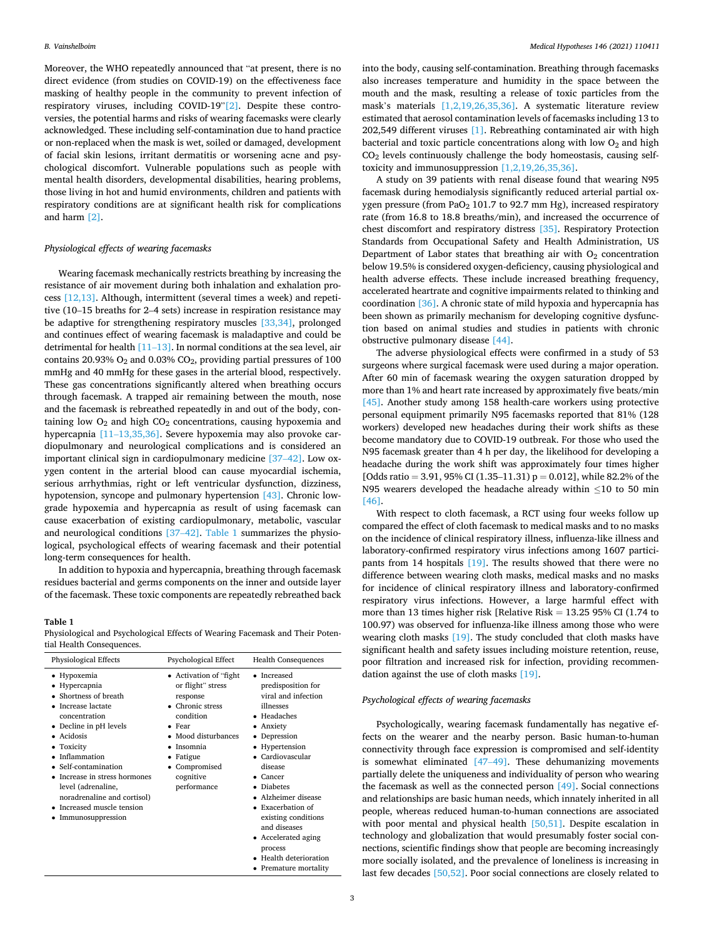Moreover, the WHO repeatedly announced that "at present, there is no direct evidence (from studies on COVID-19) on the effectiveness face masking of healthy people in the community to prevent infection of respiratory viruses, including COVID-19"[\[2\].](#page-3-0) Despite these controversies, the potential harms and risks of wearing facemasks were clearly acknowledged. These including self-contamination due to hand practice or non-replaced when the mask is wet, soiled or damaged, development of facial skin lesions, irritant dermatitis or worsening acne and psychological discomfort. Vulnerable populations such as people with mental health disorders, developmental disabilities, hearing problems, those living in hot and humid environments, children and patients with respiratory conditions are at significant health risk for complications and harm [\[2\]](#page-3-0).

#### *Physiological effects of wearing facemasks*

Wearing facemask mechanically restricts breathing by increasing the resistance of air movement during both inhalation and exhalation process [\[12,13\]](#page-3-0). Although, intermittent (several times a week) and repetitive (10–15 breaths for 2–4 sets) increase in respiration resistance may be adaptive for strengthening respiratory muscles [\[33,34\]](#page-4-0), prolonged and continues effect of wearing facemask is maladaptive and could be detrimental for health  $[11-13]$ . In normal conditions at the sea level, air contains 20.93%  $O_2$  and 0.03%  $CO_2$ , providing partial pressures of 100 mmHg and 40 mmHg for these gases in the arterial blood, respectively. These gas concentrations significantly altered when breathing occurs through facemask. A trapped air remaining between the mouth, nose and the facemask is rebreathed repeatedly in and out of the body, containing low  $O_2$  and high  $CO_2$  concentrations, causing hypoxemia and hypercapnia [11–[13,35,36\]](#page-4-0). Severe hypoxemia may also provoke cardiopulmonary and neurological complications and is considered an important clinical sign in cardiopulmonary medicine [37–[42\].](#page-4-0) Low oxygen content in the arterial blood can cause myocardial ischemia, serious arrhythmias, right or left ventricular dysfunction, dizziness, hypotension, syncope and pulmonary hypertension [\[43\].](#page-4-0) Chronic lowgrade hypoxemia and hypercapnia as result of using facemask can cause exacerbation of existing cardiopulmonary, metabolic, vascular and neurological conditions [\[37](#page-4-0)–42]. Table 1 summarizes the physiological, psychological effects of wearing facemask and their potential long-term consequences for health.

In addition to hypoxia and hypercapnia, breathing through facemask residues bacterial and germs components on the inner and outside layer of the facemask. These toxic components are repeatedly rebreathed back

#### **Table 1**

Physiological and Psychological Effects of Wearing Facemask and Their Potential Health Consequences.

| <b>Physiological Effects</b>                                                                                                                                                                                                                                                                                                | <b>Psychological Effect</b>                                                                                                                                                                          | <b>Health Consequences</b>                                                                                                                                                                                                                                                                                                                              |
|-----------------------------------------------------------------------------------------------------------------------------------------------------------------------------------------------------------------------------------------------------------------------------------------------------------------------------|------------------------------------------------------------------------------------------------------------------------------------------------------------------------------------------------------|---------------------------------------------------------------------------------------------------------------------------------------------------------------------------------------------------------------------------------------------------------------------------------------------------------------------------------------------------------|
| • Hypoxemia<br>• Hypercapnia<br>Shortness of breath<br>Increase lactate<br>concentration<br>• Decline in pH levels<br>• Acidosis<br>• Toxicity<br>Inflammation<br>• Self-contamination<br>Increase in stress hormones<br>level (adrenaline,<br>noradrenaline and cortisol)<br>Increased muscle tension<br>Immunosuppression | • Activation of "fight"<br>or flight" stress<br>response<br>• Chronic stress<br>condition<br>$\bullet$ Fear<br>• Mood disturbances<br>Insomnia<br>Fatigue<br>Compromised<br>cognitive<br>performance | • Increased<br>predisposition for<br>viral and infection<br>illnesses<br>• Headaches<br>• Anxiety<br>Depression<br>٠<br>• Hypertension<br>Cardiovascular<br>disease<br>Cancer<br><b>Diabetes</b><br>• Alzheimer disease<br>$\bullet$ Exacerbation of<br>existing conditions<br>and diseases<br>• Accelerated aging<br>process<br>• Health deterioration |

into the body, causing self-contamination. Breathing through facemasks also increases temperature and humidity in the space between the mouth and the mask, resulting a release of toxic particles from the mask's materials [\[1,2,19,26,35,36\]](#page-3-0). A systematic literature review estimated that aerosol contamination levels of facemasks including 13 to 202,549 different viruses [\[1\].](#page-3-0) Rebreathing contaminated air with high bacterial and toxic particle concentrations along with low  $O<sub>2</sub>$  and high  $CO<sub>2</sub>$  levels continuously challenge the body homeostasis, causing selftoxicity and immunosuppression [\[1,2,19,26,35,36\].](#page-3-0)

A study on 39 patients with renal disease found that wearing N95 facemask during hemodialysis significantly reduced arterial partial oxygen pressure (from PaO<sub>2</sub> 101.7 to 92.7 mm Hg), increased respiratory rate (from 16.8 to 18.8 breaths/min), and increased the occurrence of chest discomfort and respiratory distress [\[35\].](#page-4-0) Respiratory Protection Standards from Occupational Safety and Health Administration, US Department of Labor states that breathing air with  $O<sub>2</sub>$  concentration below 19.5% is considered oxygen-deficiency, causing physiological and health adverse effects. These include increased breathing frequency, accelerated heartrate and cognitive impairments related to thinking and coordination [\[36\]](#page-4-0). A chronic state of mild hypoxia and hypercapnia has been shown as primarily mechanism for developing cognitive dysfunction based on animal studies and studies in patients with chronic obstructive pulmonary disease [\[44\]](#page-4-0).

The adverse physiological effects were confirmed in a study of 53 surgeons where surgical facemask were used during a major operation. After 60 min of facemask wearing the oxygen saturation dropped by more than 1% and heart rate increased by approximately five beats/min [\[45\]](#page-4-0). Another study among 158 health-care workers using protective personal equipment primarily N95 facemasks reported that 81% (128 workers) developed new headaches during their work shifts as these become mandatory due to COVID-19 outbreak. For those who used the N95 facemask greater than 4 h per day, the likelihood for developing a headache during the work shift was approximately four times higher [Odds ratio = 3.91, 95% CI (1.35-11.31)  $p = 0.012$ ], while 82.2% of the N95 wearers developed the headache already within ≤10 to 50 min [\[46\]](#page-4-0).

With respect to cloth facemask, a RCT using four weeks follow up compared the effect of cloth facemask to medical masks and to no masks on the incidence of clinical respiratory illness, influenza-like illness and laboratory-confirmed respiratory virus infections among 1607 participants from 14 hospitals [\[19\]](#page-4-0). The results showed that there were no difference between wearing cloth masks, medical masks and no masks for incidence of clinical respiratory illness and laboratory-confirmed respiratory virus infections. However, a large harmful effect with more than 13 times higher risk [Relative Risk = 13.25 95% CI (1.74 to 100.97) was observed for influenza-like illness among those who were wearing cloth masks [\[19\]](#page-4-0). The study concluded that cloth masks have significant health and safety issues including moisture retention, reuse, poor filtration and increased risk for infection, providing recommendation against the use of cloth masks [\[19\].](#page-4-0)

### *Psychological effects of wearing facemasks*

Psychologically, wearing facemask fundamentally has negative effects on the wearer and the nearby person. Basic human-to-human connectivity through face expression is compromised and self-identity is somewhat eliminated [\[47](#page-4-0)–49]. These dehumanizing movements partially delete the uniqueness and individuality of person who wearing the facemask as well as the connected person [\[49\]](#page-4-0). Social connections and relationships are basic human needs, which innately inherited in all people, whereas reduced human-to-human connections are associated with poor mental and physical health [\[50,51\]](#page-4-0). Despite escalation in technology and globalization that would presumably foster social connections, scientific findings show that people are becoming increasingly more socially isolated, and the prevalence of loneliness is increasing in last few decades [\[50,52\].](#page-4-0) Poor social connections are closely related to

• Premature mortality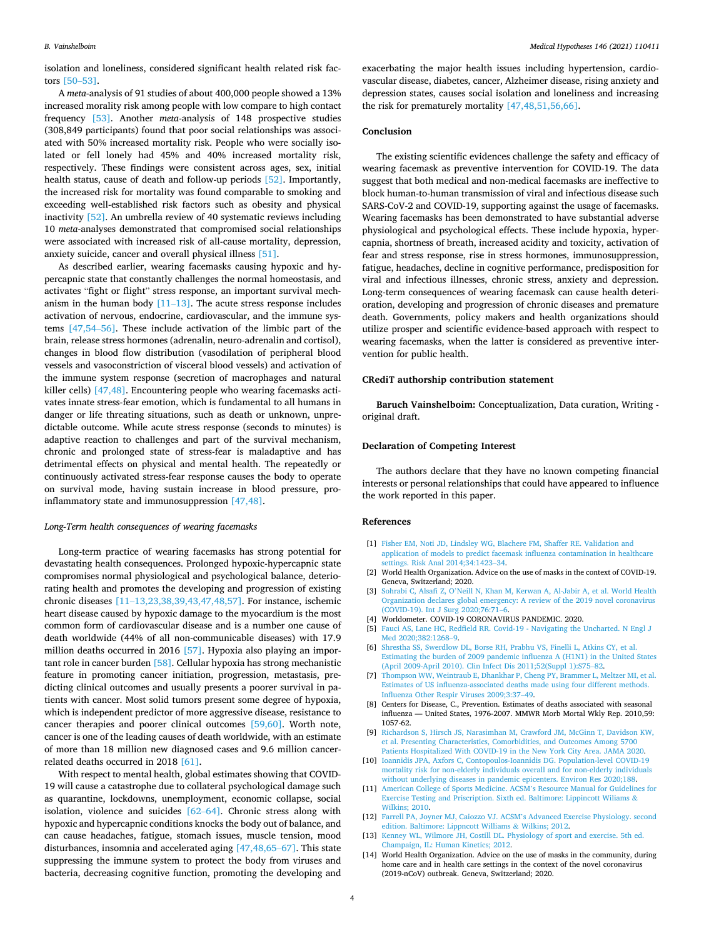*Medical Hypotheses 146 (2021) 110411*

<span id="page-3-0"></span>isolation and loneliness, considered significant health related risk factors [\[50](#page-4-0)–53].

A *meta*-analysis of 91 studies of about 400,000 people showed a 13% increased morality risk among people with low compare to high contact frequency [\[53\].](#page-4-0) Another *meta*-analysis of 148 prospective studies (308,849 participants) found that poor social relationships was associated with 50% increased mortality risk. People who were socially isolated or fell lonely had 45% and 40% increased mortality risk, respectively. These findings were consistent across ages, sex, initial health status, cause of death and follow-up periods [\[52\]](#page-4-0). Importantly, the increased risk for mortality was found comparable to smoking and exceeding well-established risk factors such as obesity and physical inactivity [\[52\]](#page-4-0). An umbrella review of 40 systematic reviews including 10 *meta*-analyses demonstrated that compromised social relationships were associated with increased risk of all-cause mortality, depression, anxiety suicide, cancer and overall physical illness [\[51\]](#page-4-0).

As described earlier, wearing facemasks causing hypoxic and hypercapnic state that constantly challenges the normal homeostasis, and activates "fight or flight" stress response, an important survival mechanism in the human body  $[11-13]$ . The acute stress response includes activation of nervous, endocrine, cardiovascular, and the immune systems [\[47,54](#page-4-0)–56]. These include activation of the limbic part of the brain, release stress hormones (adrenalin, neuro-adrenalin and cortisol), changes in blood flow distribution (vasodilation of peripheral blood vessels and vasoconstriction of visceral blood vessels) and activation of the immune system response (secretion of macrophages and natural killer cells) [\[47,48\]](#page-4-0). Encountering people who wearing facemasks activates innate stress-fear emotion, which is fundamental to all humans in danger or life threating situations, such as death or unknown, unpredictable outcome. While acute stress response (seconds to minutes) is adaptive reaction to challenges and part of the survival mechanism, chronic and prolonged state of stress-fear is maladaptive and has detrimental effects on physical and mental health. The repeatedly or continuously activated stress-fear response causes the body to operate on survival mode, having sustain increase in blood pressure, proinflammatory state and immunosuppression [\[47,48\]](#page-4-0).

#### *Long-Term health consequences of wearing facemasks*

Long-term practice of wearing facemasks has strong potential for devastating health consequences. Prolonged hypoxic-hypercapnic state compromises normal physiological and psychological balance, deteriorating health and promotes the developing and progression of existing chronic diseases [11–[13,23,38,39,43,47,48,57\].](#page-4-0) For instance, ischemic heart disease caused by hypoxic damage to the myocardium is the most common form of cardiovascular disease and is a number one cause of death worldwide (44% of all non-communicable diseases) with 17.9 million deaths occurred in 2016 [\[57\].](#page-4-0) Hypoxia also playing an important role in cancer burden [\[58\]](#page-4-0). Cellular hypoxia has strong mechanistic feature in promoting cancer initiation, progression, metastasis, predicting clinical outcomes and usually presents a poorer survival in patients with cancer. Most solid tumors present some degree of hypoxia, which is independent predictor of more aggressive disease, resistance to cancer therapies and poorer clinical outcomes [\[59,60\].](#page-4-0) Worth note, cancer is one of the leading causes of death worldwide, with an estimate of more than 18 million new diagnosed cases and 9.6 million cancerrelated deaths occurred in 2018 [\[61\].](#page-4-0)

With respect to mental health, global estimates showing that COVID-19 will cause a catastrophe due to collateral psychological damage such as quarantine, lockdowns, unemployment, economic collapse, social isolation, violence and suicides [62–[64\].](#page-4-0) Chronic stress along with hypoxic and hypercapnic conditions knocks the body out of balance, and can cause headaches, fatigue, stomach issues, muscle tension, mood disturbances, insomnia and accelerated aging [\[47,48,65](#page-4-0)–67]. This state suppressing the immune system to protect the body from viruses and bacteria, decreasing cognitive function, promoting the developing and

exacerbating the major health issues including hypertension, cardiovascular disease, diabetes, cancer, Alzheimer disease, rising anxiety and depression states, causes social isolation and loneliness and increasing the risk for prematurely mortality [\[47,48,51,56,66\]](#page-4-0).

# **Conclusion**

The existing scientific evidences challenge the safety and efficacy of wearing facemask as preventive intervention for COVID-19. The data suggest that both medical and non-medical facemasks are ineffective to block human-to-human transmission of viral and infectious disease such SARS-CoV-2 and COVID-19, supporting against the usage of facemasks. Wearing facemasks has been demonstrated to have substantial adverse physiological and psychological effects. These include hypoxia, hypercapnia, shortness of breath, increased acidity and toxicity, activation of fear and stress response, rise in stress hormones, immunosuppression, fatigue, headaches, decline in cognitive performance, predisposition for viral and infectious illnesses, chronic stress, anxiety and depression. Long-term consequences of wearing facemask can cause health deterioration, developing and progression of chronic diseases and premature death. Governments, policy makers and health organizations should utilize prosper and scientific evidence-based approach with respect to wearing facemasks, when the latter is considered as preventive intervention for public health.

#### **CRediT authorship contribution statement**

**Baruch Vainshelboim:** Conceptualization, Data curation, Writing original draft.

#### **Declaration of Competing Interest**

The authors declare that they have no known competing financial interests or personal relationships that could have appeared to influence the work reported in this paper.

#### **References**

- [1] [Fisher EM, Noti JD, Lindsley WG, Blachere FM, Shaffer RE. Validation and](http://refhub.elsevier.com/S0306-9877(20)33302-8/h0005) [application of models to predict facemask influenza contamination in healthcare](http://refhub.elsevier.com/S0306-9877(20)33302-8/h0005)  [settings. Risk Anal 2014;34:1423](http://refhub.elsevier.com/S0306-9877(20)33302-8/h0005)–34.
- [2] World Health Organization. Advice on the use of masks in the context of COVID-19. Geneva, Switzerland; 2020.
- [3] Sohrabi C, Alsafi Z, O'[Neill N, Khan M, Kerwan A, Al-Jabir A, et al. World Health](http://refhub.elsevier.com/S0306-9877(20)33302-8/h0015)  [Organization declares global emergency: A review of the 2019 novel coronavirus](http://refhub.elsevier.com/S0306-9877(20)33302-8/h0015)  [\(COVID-19\). Int J Surg 2020;76:71](http://refhub.elsevier.com/S0306-9877(20)33302-8/h0015)–6.
- [4] Worldometer. COVID-19 CORONAVIRUS PANDEMIC. 2020.
- [5] [Fauci AS, Lane HC, Redfield RR. Covid-19 Navigating the Uncharted. N Engl J](http://refhub.elsevier.com/S0306-9877(20)33302-8/h0025)  [Med 2020;382:1268](http://refhub.elsevier.com/S0306-9877(20)33302-8/h0025)–9.
- [6] [Shrestha SS, Swerdlow DL, Borse RH, Prabhu VS, Finelli L, Atkins CY, et al.](http://refhub.elsevier.com/S0306-9877(20)33302-8/h0030) [Estimating the burden of 2009 pandemic influenza A \(H1N1\) in the United States](http://refhub.elsevier.com/S0306-9877(20)33302-8/h0030)  [\(April 2009-April 2010\). Clin Infect Dis 2011;52\(Suppl 1\):S75](http://refhub.elsevier.com/S0306-9877(20)33302-8/h0030)–82.
- [7] [Thompson WW, Weintraub E, Dhankhar P, Cheng PY, Brammer L, Meltzer MI, et al.](http://refhub.elsevier.com/S0306-9877(20)33302-8/h0035)  [Estimates of US influenza-associated deaths made using four different methods.](http://refhub.elsevier.com/S0306-9877(20)33302-8/h0035)  [Influenza Other Respir Viruses 2009;3:37](http://refhub.elsevier.com/S0306-9877(20)33302-8/h0035)–49.
- [8] Centers for Disease, C., Prevention. Estimates of deaths associated with seasonal influenza — United States, 1976-2007. MMWR Morb Mortal Wkly Rep. 2010,59: 1057-62.
- [9] [Richardson S, Hirsch JS, Narasimhan M, Crawford JM, McGinn T, Davidson KW,](http://refhub.elsevier.com/S0306-9877(20)33302-8/h0045)  [et al. Presenting Characteristics, Comorbidities, and Outcomes Among 5700](http://refhub.elsevier.com/S0306-9877(20)33302-8/h0045) [Patients Hospitalized With COVID-19 in the New York City Area. JAMA 2020.](http://refhub.elsevier.com/S0306-9877(20)33302-8/h0045)
- [10] [Ioannidis JPA, Axfors C, Contopoulos-Ioannidis DG. Population-level COVID-19](http://refhub.elsevier.com/S0306-9877(20)33302-8/h0050)  [mortality risk for non-elderly individuals overall and for non-elderly individuals](http://refhub.elsevier.com/S0306-9877(20)33302-8/h0050)  [without underlying diseases in pandemic epicenters. Environ Res 2020;188.](http://refhub.elsevier.com/S0306-9877(20)33302-8/h0050)
- [11] [American College of Sports Medicine. ACSM](http://refhub.elsevier.com/S0306-9877(20)33302-8/h0055)'s Resource Manual for Guidelines for [Exercise Testing and Priscription. Sixth ed. Baltimore: Lippincott Wiliams](http://refhub.elsevier.com/S0306-9877(20)33302-8/h0055) & [Wilkins; 2010.](http://refhub.elsevier.com/S0306-9877(20)33302-8/h0055)
- [12] [Farrell PA, Joyner MJ, Caiozzo VJ. ACSM](http://refhub.elsevier.com/S0306-9877(20)33302-8/h0060)'s Advanced Exercise Physiology. second [edition. Baltimore: Lippncott Williams](http://refhub.elsevier.com/S0306-9877(20)33302-8/h0060) & Wilkins; 2012.
- [13] [Kenney WL, Wilmore JH, Costill DL. Physiology of sport and exercise. 5th ed.](http://refhub.elsevier.com/S0306-9877(20)33302-8/h0065) [Champaign, IL: Human Kinetics; 2012.](http://refhub.elsevier.com/S0306-9877(20)33302-8/h0065)
- [14] World Health Organization. Advice on the use of masks in the community, during home care and in health care settings in the context of the novel coronavirus (2019-nCoV) outbreak. Geneva, Switzerland; 2020.